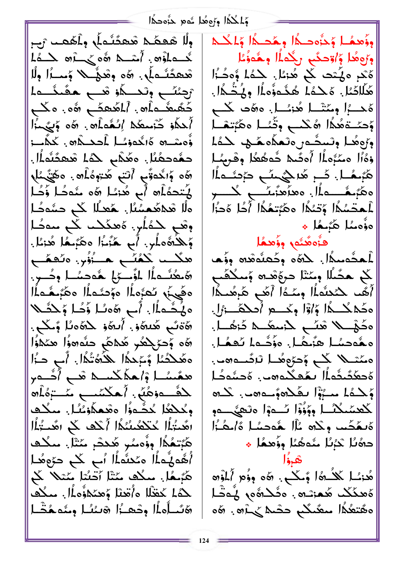وَلِمَكُمَّا وَوَهُمَّا شَهِ جَنَّوْحِكَا

وِلَا هُڪِمْ هُجِدَنَجاً وِلْمَحْمٍ رَبِ نَدْهَاوْنَ أَسْدَهُ هُوَ يَسْتَرَهِ لَهُ عَلَيْهِ هُعفَنُـم)ُ. ۞ه وهُنُــلا وَٖسـرًا وِلًا تَرْمَنُكُمْ وَنَعْسُكُمْ شَبْ حَقَّمَتُسْمَاءَ كَثَّمَتْكُماه فِي الْمُحْكَنِ وَأَوْمِ مِنْكَسِ أَحكُوْ كَتْمِعْكُمْ إِنْكُمْالُهِ. ۞ وَيَجْهَدُ وْْهِشْدْ هَانْكُمْوْشُلْ لْمُحْتَكْلَاهِ . كْخُلْسَعْ حمْءحمُىُل. ەھٗدْب ۞ مُعمَّنُماُل. مِلْدَرْتَهُم } (نَبْ هَـٰتِهِهُ أَمَّاهِ } ، وهَٰ يَّكُمْ لِهِ لَتَتَحَمُلُوهُ أَبِ هُزَمًا هَوَ مُنَوَجًا وَّجُـاً ەلل ھەھمىئىلل ھىدىللىكى جىئەكا وڤَح جَهُلُر. هُعنَكَت كُح مەتُـا وَجَلاَهُ٥ مَارٍ. أَبِ هَٰٓئُنُوا ٥ هُرَمَهُا هُـزَمَّا. هَكَبِ إِكْمُنِّسِ هِــَّأْوُرٍ. هَنْهُمْسِ رَهُ حَكْسُما الرُّسْحَ لِمُحَمَّسًا وحُسْرٍ. الْمَـفُّبُهُمَ الْمَثْـهِ الْمَثْمَةُ بِنَـهُمَّـهُ ەڭھۇا. آب ھَەنا ۆُحُا وَكْتَلا هَٰۃَنٌمٖ هَٰنهُۏۚ. أَنهُوۡ لَاهُءَنَّا وُنَكُمۡ. هَ ۚ وَحَكِلْهُو هَٰذَاهُم حَدُّهُ وَأَ مَنْذَوُّا هِ مَحْكُمًا وَّعِجْدُا ۖ حَذَٰهُ ۖ ذَٰا ۖ وَ أَبِي حَـٰٓءَا همَّسُلُ وَاهِکُمْکُسِیْ قُبِ أَحُسُورِ لِكُ وَهُلَّى. أَحْكَسُبِ مَّتْ وَالْمَاهِ وِكْلِكُلْ كُثُّدَوْۢا دَثْعِكَاوۡتُنُا ۚ. مِكْك الَّحْتُلُا غُنْكَفُتُكُا أَكْفَ كُلِ اهْتَتُلُا هَّتٖتعُمَّا ووُّەسُو هُدشر مَتْا. مىڭد أَهُّه لُمَّا أَمَّدْ مَا أَسْمِ كُلِّ حَرَّهِ هُـا الْمَعْهُـا هُرُهُا. سكُف سُتَا أَتَسُّا سُتَلًا كُمْ لِكُمَا كَفَلَا هُ/ْقِبْلَا وَهِنَكُوْهُا الْمِنْكُفَ هَنُــأَهلُا وحْعـبُْا هْىئىُـا وِمْهِـمُخْـل

وؤهما وُحزَّه حدًّا وهُجدًا وَلِمُحدَّدًا وَرَوهُا وَاوْحِكُم رِجُوبًا وِهُوزُمُا هُكُمْ وَلَمْتَتَ لَمْ هُوَمُاً. كَلَّمَا وُوَجُدًّا هَٰلَاكَمُل. هَــدُءُا هُـدُءوُّه اُل وِيُـتُــدُّل!. هُجِبُرا وِمَتْشَباً هُزَيْباً. وَهُدَ كُبِ وَحَسَّـةَهُٰذًا هُكْسَــمٍ وِثَّعُــا هَمَّتِـمْــا وزوهُا وتستَّمر وتعكَّدها لِكَمَاء وْهُۥۢۢا مَمَّہُماُا أُهضُمْ خُمعُعُا وِقْرِبُما هُبُمُا. ثُمِ هُدِيْمَةٍ حَبْثَهِا ەھَبْمُسْسەمْلْ وھەّئىتْسى كېسىر لْمَحْسُمًا وَتَسُمَّا مِمَّتِمُمَّا أَحًا هَدَٰا أەۋەمما ھۇمگا \* فأوقُدُو ووُهمُل لَمحُدمكُم اللهُ وحُمثُوهُ وَوَمَ ﻼ ﻫَﺤُﯩﻠًﺎ وِﻣَﺘْﺎ ﺣﺮﯗﻗﺪﻩ ﻭٗﯩﯩﯖﻘﯩﻢ أَهًا كَنْدَنُّهَ أَا وَمَنْهُ أَهْبَ هَٰٓ هُمْ الْمَرْحَمَ وكُمْكُمُّا وَۢاوْۤا وِحْسُمْ أُصِحْكَمَ وَٰٓالِ. ەكۋىلا شئى لمنىڭك ئنۇسل. معْهْدِسُا هِنْبِهَا. وَوَّدُوا تَعِمُا. ەممْشىلا كُلّْعِ وُحرَّەھُدا لەگسەھەب. ەَحكَثَىثُماُ لەڭگىم سى ، ەَحشەخا وَحْدُمُ مِعْتَوْلَ بِمُحْمَوَّدِهِ مِنْ يَحْمَدُ لْكَعِنْبِكُمُّا وَوُّذْرًا نُےوَا وَتَعِيَّجِےو هُبِمُجُبِ وِكْلَا إِلَّا هُوَجِبُنَا وَٱسْتُرَاْ دەُنَا كَبُنَا مُدَهُمًا وِزَىدۇا ﴾ هُذَبُ لَكُـ هَٰ الْمَحِكَّمِ. هَء وِؤُم ٱلْمَوْهِ ەَھكْكْ ھُمْتَى وَشَكْوْهِ فِيْمَتْدَ ەھُتمْدُا مىغَىكْم حصْدْ حَاشْ . 6ە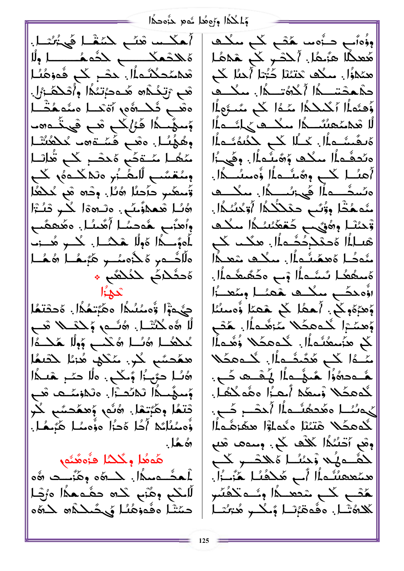وَلِمُكُمَّا وَرَوهُمْ شَوْمٍ حَزْوَجِهَا

أهكسه مْتَع حْمَقْها فَيْتُهُدَا. هَ حَدَّمَكَــــــــ حدَّدهُـــــــــا وِلَا مْدْمَكْتُـملَا. حتّــر كْــح فُـموْهُنُـا مْعِ ۚ رَتِحُـٰدُه ۖ هُــه=بُتَـٰدُا ۚ وٖاُتَـٰكَـٰ ۖ رُلّ ەقىب ئىسىۋە ، أەتىسا مىئەمشىل وَسَمَّسَمًا فَئْلِكُم شَمِ فَيَخْتُدُونَ وهُهُنُـا. ەھَــ كَـمْــةەب كَـلاھُنْـْـا مَعُا مَـٰۃکَہٖ ہَدتَـٰٓ ٖ کَب تُدانَـا وسُمّشَبِ لَٱحۡضُوۡ وَتَمۡكُـوَهُۥ كَبِ وَّسعَّى حَرَّحبًا هُنَا. وِحْدَ هُم مُحْفَا ھُنُّا شَعْدُوْمَبُ . ەتىھۋا كُب قْنُرَّا وأهنَّب هُوصُبًا أُهُبنُـا. وهُبققُب لَمَوْمِــٰهُا هَوْلًا هَـٰـُــَــا. كُـــو هُــــزمـ ەللۇسەر ەڭدەمىسر ھېگىل ھىلىل ەْحثَىٰ(كَم سْكَلْتُبْ \* تحجئزا حَيْجةَ أَمْسُلُمَا مِكْبَتْهُكُا مَحْتَتَمُا لًا هُوكُنْتُمْ. هُنُـمٍ وَكَنْـِكُمْ هُبَ حُكْفُ أَمُثَلُ هُكْبٍ بِهِما هُكْتُوا مُحَكَّدًا همَّحسٌم ۖ كُر. مُكْلُو ۖ هُٰٓ مُا ۖ كَتَنْعُلُ هُنُـا حرَّىـُۥَا وُٓـكَــع. هلَّا حَـُــمِ هَـــدًا وِّسهٌـــدًا لَـمْنَــــْٓا و مَــْمَــْــما هَــمِ دْتْعُا وِهَبِّتْعْا. هُنُّو وَمَعْجِسًا لَكُو ؤْەمْنْلْنُمْ أَكُلْ هُدَٰا ەۆْەمْمَا ھَبُعْمَا. هُ هُا . هُوهُا وِكُلْمَا فُزُوهُنُومِ مُعشَــْمِيمُا. كَــْهُه وِمُنْسَـت هُه لْلَّسْمِ وِهْبَى كَلَّهِ حَقَّـهِـهَا وَرُضَـلِ

حمَّتْـا مڤُموَمُـُـا فَيحُــكْـمْ هَــوَهُ م

وِؤُهَّابٍ حـزُه ما هَتْبِ كَبِ ملكك هُعطًا هَ:ُهُا. أَحْشَر كُم هَدْهُا هكلاؤًا. سكُف تَنتَنْنَا خَتْتَا أَلَمْنَا كَل حكْمحْتسلا أكْدُتكا. مكـ وَّهِتُما الْكُلْكُمَا مَنْدَا كُلِّ مُنْتَوَبِّلَا أَلْمَ شَمْسُمْتُمْ الْمُسْتَدَارِ مَسْتَدَمَّةً لِلْمُسْتَدَمَّةً لِلْمُسْتَدَمَّةً ەَىشَىشەمال. كىللىكى بىلەشمال وَنُحَفُّواْ مِكْتَ وَهُمْثُواْلِ. وِفَيْءُا أَهنُــا كَبِ وِهُنْــواًا وُومِنْـــوا!. ەئىثَـــەلُمْ فَى زىر مالىگـــە مْدَهُخْا وِوُّنُبِ حَكَلَكُمَا أَوْكُنُكُمَا. تَوْحِيْنْمَا وِهُنَّى مِ حُقْعَيْنِيْدُا مِكْتَ هَىللُا ەَحنَكْرْخُشُـملُا. مىكــى كَــح مُعَصًا هَعَمَنُعَالَ. مِكْتَ مَعِيدًا ەۡمىغۡھَٰـا ئَىشۡـەلَٰا ﴿ب اؤْەبجكَنى سكنىك بەشكرا وسِّعنى وُل وَهُرُهُومٌ ﴾. أَحمَا ۖ ﴾ هَما أَوْمَسْنُا وَهِمَّةٍ أَكْدَهِكُلا مَّاشُدَاً الْمَحْصَرِ لَّلِ هَزَمِيعُنُدَاً). يُدْمِعَكُمْ وُهُدَاً مَّــهُ| كُـَــم هُكُــفُــمِلًا. گــممكَــلا ـمُــددهُوَٰاً ـمُــوْــداًا لِـُـقَـــت كَـــى . لُدْهِكُمْ زَسِعُهِ أَيْهِ وَ وَ هُو لَكُمَا . لمحتَ الْمَسْمَدُ أَمْسَمَهُ مَسْمَرًا لَهُ مَسْمَرًا لِلْمَسْمِرَ لُدهكُم هْتَنْنَا مْدْمَاوْٓا هفْرَهُـٰهِ أَا وهَم أتَسُّكُا لَكْفَ لَمْ. وسوعا هُم لْمُصَدِّيكَ وْحَسَّا هَ هَشْبِ كَبِ همّعهنُدْه الْمَجْ هَٰذَا الْمُنَارِ لَا اللَّهُ وَالَّذِينَ هَتَـــم كَـــم مْـتحــدًا وسَّـــه تَكفُسُر كْلَمُتْـا. وفُوصَ<sub>َّ</sub>تْـا وُحكْـو هُـْرَ*تْ*ـا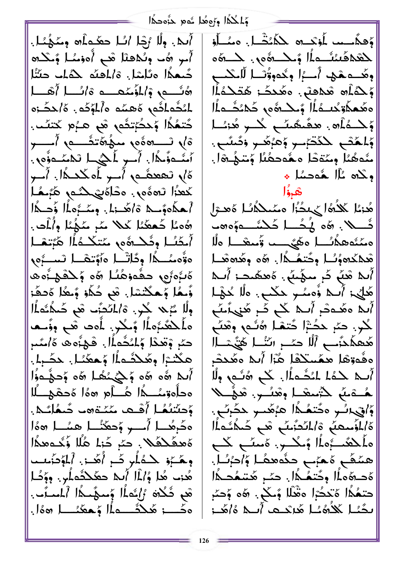وَلِمَكُمَّا وَرَوهُمْ شَومٍ حَزْوَجِكَا

أَبِي. وِلَا رُجَا ابْلِ حِيْدِيْهِ وِمَحْدُبًا. أَمرٍ هُـد وِنُـدْهَدَا هُـم أُدْمِمُـا وُمـْـدُه حُىعَدًا وَتَلْسَلَ. وْالْمَفْدَ حْدَلْكَ حَتْنُا هُنُـــمٍ وۡالمُؤۡمَّـمــــه هُ الْــــا أَهْـــا لْمُثْمَلِّقُوم وَهِمَّد وأَلْمُؤَكَّدَ وَالْمَشْرَة حٌتمُمُّا وَحدُّبِّتَمَى هُي هـرُم كَتنَب. كَمَا إِحْسَاءُ مِنْ مُؤْمَنَةً مِنْ أَمِسِ لَمْ أَمْدُهُوَمُمَالٍ أَسِرٍ لَمَكِيمًا تَمْسَدُوْهِ. ة ) ، تععيشها أسو لمُهكماً. أسو لَعْبُدُ مِمْلَى وَالْمَاسَى مَاسَمَهُمْ مِنْ مِنْ مِنْ مِنْ أهدَّووَّكُ وَأَهْدَنَا. وِسَدَّوَهُ أَوْحِدُاً هُومُا كَعِعْمًا كَلا مَرْ مَكْهُمًا وأُلْمَدٍ. أَحْنُــل وِخْــدِهُ٥ مُتكَــهُ أَلْمَ هُزَتِـهَــل ەۋُەمْـــدا وڭاڭــا ەزۇتىھـــا تىســرُەي ەُبُوْرَى حَفُوهُمُا ھَو مُحْفَىٰ وَمَنْ زُمطًا وَحكَّثتا. هَي حُكَّوْ وَعِعُل هَدفَة وِلَّا مُرْبَّد كُنْ وَالْمُنْجُوبَ هُمْ خُلَفُهُ الْأَ ەلَّىْتَشَرَّەلُّا ہُنگر. لُّەت تْف وِزُنــعا<br>حَبْ وْتَعْدَا مُّلْتُحَمِلُّا. فْتْخُوتُه كَانْتُنْز هكْتْبْلْ وِهُحْدُهْ أَلّْ وَهِعْتُمْلّْ. حَضّْرَا. أَمَا هُوَ هُوَ جُلِيَحْتُمَا هُوَ جَهْدَهُ أَ ودأوقئكما هُللُع هؤا وُدهَجِلًا وَحِنْتَنُمُا أَقْـمِ مُنْتَوِهِ حُمُلَتَـمْ. ەكْبْعُــا أُــــو وِّحْتُنُــا ھىئــا ھەُا هُمفَكْفُلاً . حَبْرٍ خَطْ هُلًا وَّخُـهِمْاً وِهَــُرُو لِلْــُمَلُو تَــوٍ أُهَدَىٰ ٱلْمُؤْتَنَاسَـــ هُذِبٍ هَٰا وُٱ،لَّا أَبِيا حَمَّلَاثَمِلُنِ. وِوَّجُل هْمِ ثَكْلُهُ ۚ رُٰكُمَاً ۖ وَمِيهُماْ ٱلْمَعِدُّدِ . هِ حَــــز هَٰـدَثَـــه اُ وَ هِهَنَــــــــــــــ ( هِ هَ ا

أَوُهِمُسِيبٍ لِمُؤْتِسِهِ كَلَّمُنْشَارٍ. وَمُسَأَو لمعْدَفَسُنُسْماُ وُسْدِهُم، لَمْدِهُه وهُـــوهُـها أُــــرًا وكُوورُّنْــا لَاعْكـــع أَوْحَدُاْهِ شَهْدِهِ بِ مَعْدَدُ: هُتَحَدُّهُ ا وهَمكَاوْكُلْتُ وُسْلَاهُ وَ كُلْتُشْتَاءُ وَحْــدُاْھ. ھڤىڤىٽَــ كْـــو ھُـَئــَــا وَلَمَّصْ كَكْتَبْسِ وَعَبْهُسِ وَصَّنَى . مْدَهُمَا وِمَتَّدْا مِعْدَدُمًا وَسَيُرَةَا. ولاده عْلَى هُدْمَاء **ئگرؤا** هُذِيْمٍ كَلَّهُ الْمَحْدَّا وَالْمَكْلَمِينَ الْمَجْمَعَ الْمَحْدَثَةِ مِنْ الْمَحْدَثَةِ مِنْ الْ ئَــــلا ، هُه لَمِــُـــا حَـلْمُــــهُوَهِ هَــ مَنْتُوهِدُسُلِ مَعْيَىبِ وَّسِعْدِ الْمُ هَٰكُدُهُ وُسُلُمْ وَحُتَمُكُمْلَ. هُو وِهَٰدُهِ هَـٰ ا أَلَّهُ هَلَّ ثُمَّ سَهِّئَعٌ. هُعَظَّمَتَ: أَلَّـهُ هَايُ: أَسِمْ ؤُهسُو هكْبِ. هِلْا حُهْدا آبد ہو گے۔ آبد کے کو ہی آبے كُرِ. حَبْرِ حَضَّرْا حٌتقْنَا هُنَّمٍ وِهْنِّي هُعِكْدُبٍ أَلَّا حَسْبِ النُّا هَيُّمَالَ وفُوتِها ممُسكْفًا مَّزَا أَبِكَ وَهُدَبَّر أَسِمْ بِدَعْدًا لِمُتَّشَمِلًا. كُمْ هُنُمْ وَلَا هُــتَمنّم لأَبْعثك وقُلُــب. قُوْصًــلا وَّاقِ الَّــو وَحُتمُــدًا هَزْهَٰـــو حَجْرَبٌ . أَمْلَؤُسِعِيَّ وَالْمُدَّنِّبِ شَيْ حُبِّدُهَ أَ ەلمَكْتُسْبُومُا وُحُكْسٍ. ەَسْسَى كَلَّ هَنّفُ هُمّنِ حَذَّهِها وَٱحْبُـٰاً. هُدهُه)ا وِحُتِمُكُا. حِيْنِ هُتَنِمُدِكُا حتمُدًا هَتَدَمَّ ا هَمَّلَا وَّكُلْ هُ هُ وَحَمَّ بِجَبْلِ كَلَاهُنَا هَرْبَيْهِ أَبِيهِ وَاهْبَ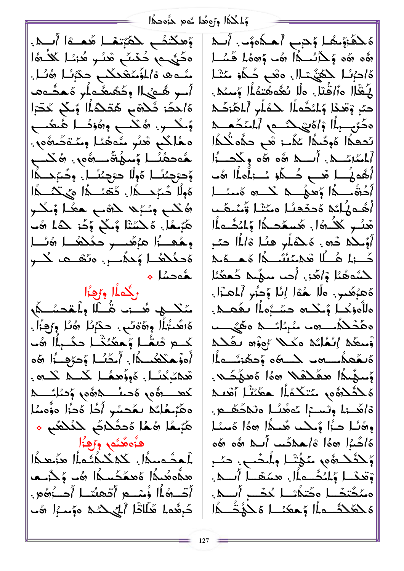وَلِمَكُمَّا وَرَوهُمْ شَومٍ حَزْوَجِكَا

وَهكْتُصُمْ لِحَكَبِّتِهْمَا هُمْـَةَا أَسْـِمَ. ەڭنىمە كْتْسَّە شْنَىر شَرْسًا ݣْلْاشْ منَّـه۞ هُ/لمُغْمَكْم ۚ حكْرُبُـٰا ۚ هُنُـا . أسر شَيْهاا وِكْشُمْلُو وْمْعَـْـەم هُ/حكَّ: ثَلاَهْمِ هُتَـٰدُمُّاْ وَّـكُمْ كَتَّـْٓٓٓٓٱ وُكْسِرٍ. ۞تَكْسَعٍ و۞وْشًا ۞هُمْسَعِ ەھْلگىم قىئو مْەھْئا ومْتْمَضُرْهُ). هُوَجِعْنُــا وَمَعْهُقُو َ مِنْ يَا يَا اللَّهِ مِنْ يَا اللَّهِ مِنْ يَا اللَّهِ مِنْ يَا اللَّهِ وَحرْجِئْنُــا هُولًا حرْجِئْنُــاً. وِحُبْنِـــدًّا هْوِلًا ۚ هُجُمْ حَمْلَ ۚ وَتَعَمَّـ \$الْمَــكَةِ ۖ وَالْمَــكَةِ وَالْمَ شكْب وْسْبَرْ لْمْشْمَا هْشَا وْسْكْسْر هَٰٓبِمَا. هَكْسَٰٓتَا وُسَكَّ وَجَٰٓ كَهَا هُٮ وهُدَّ:ا هَزَهُمَـــو حَكُكْمًــا هُنُــا ەَحكَكْشَا وُحَدَّسَنِ. ەنھىھە كىس هُ المُحمَدُ رگمأا وروءُا مَكْنَ هُــزب قُــُلَا وِلْمَعْصُنَكُمْ ەَاهَٰىۃُڵًا وەققى، حثْبُلُ ھُلُّ وَرُكُوْلُ. كَـــمْ دْمَغْــا وْهكْنْتْــا حكَـــْبِلَا هُــ أُهزَ مِنْكُسُـدًا. أَمَثَـٰـا وَجَحِــَٰا هَه قْلِمَبْرِكْسًا. هُوؤُهْدُا كْتُبْكُمْ كْتُلْبُو. كَعِنْتُ وَمُواصِحِ وَهُ وَصَلَّكُمْ وَصَلَّكُمْ مِنْ الْمُسَمَّ ەھْبُـھُاگە بەھتىپ آَجَا َەْجَا ەۋەممَا هَبْعُا هُعُا هُدَكْلاَكُمْ لَلْذَهُمْ \* فَأَوهُدُوم ورُحِزًا أمعَدُه معدًّا. كَلاَ كَمْكُمُّدَهُ أَلَّا هُزَمِعِيهَا هِدُهُ هُدِدًا هُ هِمَّكُسِدًا هُ۔ وَجْنَبِ أُحْسِوهُ أَلْ وُسْسِعِ أَحْمِلُنَسَا أَحِسْرُوهُ مِن دَهِ ابْسوْمِ مَكْرِيْدًا أَعْلَىٰ مَعْمَدًا مَعْمَدًا مِنْ

هَ حَقَّزَةٍ حَفَا لَمِحْتِهِمْ أَحْسَنَاهَ وَجَاءِ أَسَلَا وَّهُ وَ وَكَلْسُكُمْ وَ وَ وَ وَ عَمَلٍ لَّهُ وَ لَهُ لَيْسَا هُ/دَبُـُـل كِعَيَّـْمَـلل هُم حُـكُو مَنْـْـل لِكَشَالَ هِ ٱلصَّلَا . هِ لَٰهِ تَحْدَهُمَا اللَّهُ وَحَسَدُ . حمّ وْتَعْدَا وْلْمُحْمَلًا حْمُلُر ٱلْمَرْكَـٰه ممغندا وشكرية البوغة تَحفَّا هُوِئَىدًا عَذَّى: هُبِ حَذُّه تُحْدًا كَمِلْمَبْرِيْكُمْ. أَيْسِكُمْ هُو هُوَ وِكْحِسْرًا اُهُولُی اللَّهِ کُنْ مُنْ اُولُمَّا اللَّهَ<br>اَکْتُفُسْکُا وَهوُسْکُ کُنْسُ ہُمْسُنَا أَهْدِيلُكُمْ وَحَقَقِنًا وَعَنْنَا وَّعُبُمَّت هْنُــوٖ ݣْلْــْهُا. هُـسفَحــدًّا وَّلْنُخْــەلَّا أَوْمِلُكُمْ دُهِ . هُلْكُمُلُو هِنُا ةَالْمَا حَمْدِ كَهْ مَا الْمَسْتَمْسُدُ مِنْ مَا مَدْهَد لِكْتُوهُمُا وْأَهَٰذٍ. أُحب سَهَّيكَ خَعِفَمُا |ەَهزْهُدِ وَلَا هُوْا إِيَا وَجِزُرِ ٱلْمَوْالِ والأوزجا وُكْده حِمْدُوماً لِكُعِيمَ. ەھكىلگىـــەب مگېئائـــىل ەھئىـــب وْسطَة إِنْعُلْتُه هَدُلاً مْهَوْنَ بِكَلْهِمْ كَاسْتَكْمَاسْتِ مِنْ الْمَسْتَكَمَّةِ مُسْتَدَمَةِ مَنْ وُسِهَٰدًا مِفَحْقَدٌ ‰ا هُمِهَٰدُ . هَ لِمُذْلِقُورٍ مُتَكَمُلًا مِعْنَنْا آمْدِ ة/هُد; ا وِتسة ا حُوهُدًا وتَلاَحُهُدِ. ودُبُّل جِزًا وُحِكْمٍ هُجِيدًا «وَأَ وَجِيبًا كَاكْتُرًا هَا أَكْتُمْ مَكْتُبٌ أَسْلَا هُمْ هَا |وُ حَثَّحَــ هُ٥و مَعَهُتَــا وِلُمحَـــو . حصَــر أَوْتَعَدْلَا وَلَمُحْصَمَلًا. مِمْتَعْسَلَ أَنْسَكَ. ممَحَّتكُلّ محَّتكُمْـْلَّكْحْبِ أَبِّكُمْ. هَ حَظَحْفُــهِ أَل وَ حَفَّئُـــا هَ حَذَبٌ حَالَ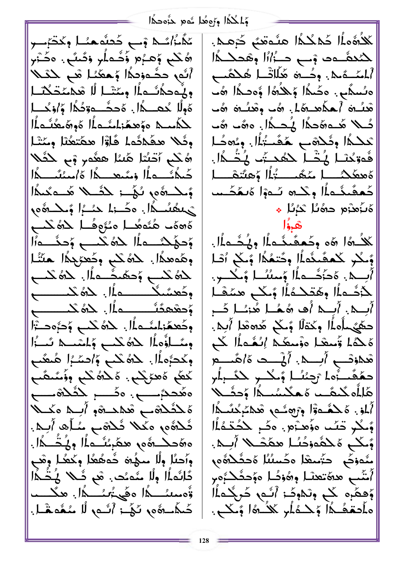وَلِمَكُمَّا وَوَهُمَّا شَهِ جَنَّوْحِكَا

تَكْتُرُكُكُمْ وْبِ خُصْفَهْمَا وِكْخَرِْسِرِ ھُکُم وُھـرُم وُڪُـملُو وَصَّـُ وَڪَـٰٓوو أَنَّهِ حَشَّەزَدَهُ! وَحَعَّمُا مَن حَلَّكَ وضَّحكُثَــملَا ومَتَسْـل لَا شَكْمَـمَّدَكْتَــل ەُولًا غُـْھَـــدًا . ەَحْقَـــەۋْخُدًا وَ/وْخُـــا للْمُسلِم وَوَهِمْ الْمُسَمِلَ أَوْ وَهُ حِفْسُهِ أَلْ وِثَلا مفَكِدُه لهُ قَاوَّا مِكْتِمُنَا وِحَتْهُ هُ كُم آتَسُا هَٰنا هِعُورٍ ۥٕٓمٖ كَثَلا حُكُمُ وَلَمَ الْمُسْتَحَدِ أَوْ مَسْتَدَارَ وَالْمُسَلَّمَاتِ وَمِكْتُوهِ رُؤْمَ: لَأَصْلًا هُــوَتُمَالًا ەُھەَ۔ ھُنُوھُــا مُنُوھُــا كَمُكَــٰمِ وُحهُكْــــه أَا ۖ حَمَّى كَـــــــــــم وُحكَـــــمأَا وهَوهدًا. لِهُ كُلِّ وِكَعْرَجِدًا حَتَّا لْحَمَّكُمْنِي وَحَمَّدَتُّــهِ أَلْ بِالْحَمَّكُمْنِي وحُعسُنُگ ــــــــه أل. كَنْ كَـــــــــــــع وكَعفَظنا الله عَامَدُ مِنْ الله عَنْ وَحَرَّهُ وَحَسَّرَا اللَّهَ ومُسْلَؤُهاُ لِدَهُ كُنبٍ وَلِمُسْلَمَ تُسْرَٰا وكَحَرُّه أَا. كَاهُ كُبُّ وَاصِّرُا هُنْفُتُ كَعُمْ هُعْكِيْمٍ. هُكْلُهُ كُنْمٍ وِزُمُّتُمُّتَمْ ەھُددٌمِــــــمِ. ەكــــــر للشَّلاھُــــــم ەَ ݣْݣُوْسْ ھْھْدْۋْو أَبْسِهْ ەْݣْبْلَا ثُلادُه مكلا ثُلاهب سُلُّه أَبِلا. ەھَحكْشُوم ھكَبِئْتُـماْلِ وِيُخُـــدُلْ. وأحلًا وألَّا سَجُرَةً خُوفُعُكَ وَكَعُدًا وِقَب دَّانُماْ! وِلَّا مُدَّدَت هُم ثَــلا لِمُـتُــدًّا! ۋْەمىك داھْي تُرىگى مىلگىسى ضَكْصَفْتُ الْمُسَارِ لَكَ مُعْمَشًا.

لْلأَهْمِلُا كَمْكُمُا مِنْمَعْنَى كَرْمِيهِ. لأندهُــــوت وٓـــــــ وَاللَّهُ وهوكـــدُّا أَلْمَدْ هُدْهِ وَحُدْوَهُ هَٰلَاتْ لِمُحْقَب ەسُىگَى ِ. ەَحَىدًا مُِكْتُمَّا مُوَصَدًا هُ۔ هْنُـةْ أَـهِـكُمْــةَـا. شَـ وِهْنُـةْ شَـ ئىلا ئېيەقچكا ئېچىكا. ەقت ش تَعْلَمُا وِثْلَاهُبِ هُقَسَّتُمُّا. وِءُهِدًا فُورُدْلا هُتْهِ لاهُمْ يُن هُنُدُوْلِ. هُممَكِنْ \_\_ لِمَمَّمِ \_\_ يُٰأَل وُهنَّنفَ \_\_ لِ كُمْشَدْءَلَمَا وِكْلُهُ سُوْرًا وَيُمَكِّسُت ەْبَهْتُو دەمُل كَبُرُل \* لْمَدْهُا هُو مِكْعَفَىدُ وَلَٰهُ وَلَٰهُ وَلَٰهُ وَلَٰهُ وَلَٰهَ وَلَٰهَ وَلَٰهَ وَلَٰهَ فَلَا الْ وَّحْدِ كَمَعَّـذُه)اْ وِحَتمُدًا وَجَكَ ٱتْـا أَأْبِــدَ. هَجَدُّــواًا وَمِيسًا وَمِكْــرِ. لأَدُّــه الْمُ وَهُقَدْـهُ الْمُ وَمَكْنَ مَسْقَى ا |أب4. أب4 أف هُمْا هَٰذُا كُبِر حَفِّيُ الْمَالُ وِحْتَالًا وَّحْكُمْ هُدَهِ هَذَا أَبِيهِ. هُكُمَا وَّسِعْدَا هُوَسِعَكُمْ إِنْشُمَاْلَ كُلِّ هُدُوْتَــــ أُبِـــد أَنْيَـــت هَ/هُـــــــــــمْ حَفِّفُـــأها رُحِنُــًا وُلَــُــرِ لِكَــْـبِلُر هَٰلِلُه كُلْفُــد هُـعَكْسُنْــدُّا وَجَشَــلا أَمْلُوْ. هَ كَشُمْتُوْا وِرْجِعَةٍ هُكُمْ دُنْكُمْ أَ وَّمِكُو تَتَمَّد هَؤُهـْ;َمَ. هَكْمِ لِكَحَّدَهُلَّا وً كم هَ حَقُودُ اللَّهُ مَعَصْلاً أَبِــِمْ. مْدَوْكُمْ ۖ حَتَّمَعْدَا ۚ دَحُمَلُنَا ۖ هُحَفَّكُمُّومٍ أَشّب ه%تعلّا و%وْحًا ەوۡحَفُكُ وَمِ وَْهِمۡرِهٖ کُل وِلۡدَوۡکَۃٖ اُنَّـٰہٖ خُرِیۡکُـٰہِۢاُا ومأحقفُ\$ا وَحَدْمُلُو كَلْـ هُ اوْمَكَـو.